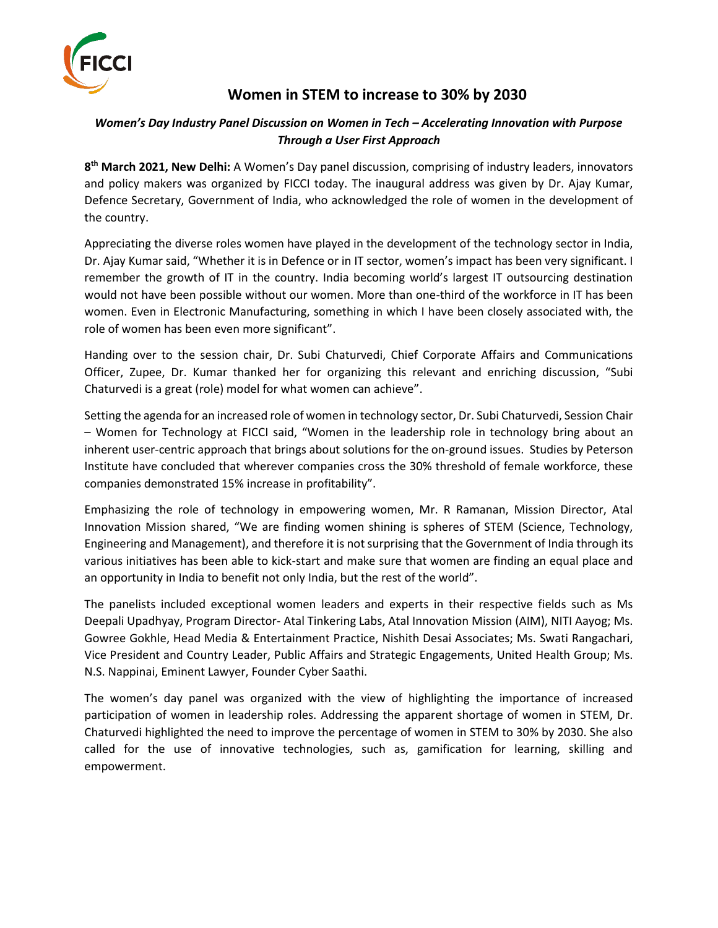

## **Women in STEM to increase to 30% by 2030**

## *Women's Day Industry Panel Discussion on Women in Tech – Accelerating Innovation with Purpose Through a User First Approach*

**8 th March 2021, New Delhi:** A Women's Day panel discussion, comprising of industry leaders, innovators and policy makers was organized by FICCI today. The inaugural address was given by Dr. Ajay Kumar, Defence Secretary, Government of India, who acknowledged the role of women in the development of the country.

Appreciating the diverse roles women have played in the development of the technology sector in India, Dr. Ajay Kumar said, "Whether it is in Defence or in IT sector, women's impact has been very significant. I remember the growth of IT in the country. India becoming world's largest IT outsourcing destination would not have been possible without our women. More than one-third of the workforce in IT has been women. Even in Electronic Manufacturing, something in which I have been closely associated with, the role of women has been even more significant".

Handing over to the session chair, Dr. Subi Chaturvedi, Chief Corporate Affairs and Communications Officer, Zupee, Dr. Kumar thanked her for organizing this relevant and enriching discussion, "Subi Chaturvedi is a great (role) model for what women can achieve".

Setting the agenda for an increased role of women in technology sector, Dr. Subi Chaturvedi, Session Chair – Women for Technology at FICCI said, "Women in the leadership role in technology bring about an inherent user-centric approach that brings about solutions for the on-ground issues. Studies by Peterson Institute have concluded that wherever companies cross the 30% threshold of female workforce, these companies demonstrated 15% increase in profitability".

Emphasizing the role of technology in empowering women, Mr. R Ramanan, Mission Director, Atal Innovation Mission shared, "We are finding women shining is spheres of STEM (Science, Technology, Engineering and Management), and therefore it is not surprising that the Government of India through its various initiatives has been able to kick-start and make sure that women are finding an equal place and an opportunity in India to benefit not only India, but the rest of the world".

The panelists included exceptional women leaders and experts in their respective fields such as Ms Deepali Upadhyay, Program Director- Atal Tinkering Labs, Atal Innovation Mission (AIM), NITI Aayog; Ms. Gowree Gokhle, Head Media & Entertainment Practice, Nishith Desai Associates; Ms. Swati Rangachari, Vice President and Country Leader, Public Affairs and Strategic Engagements, United Health Group; Ms. N.S. Nappinai, Eminent Lawyer, Founder Cyber Saathi.

The women's day panel was organized with the view of highlighting the importance of increased participation of women in leadership roles. Addressing the apparent shortage of women in STEM, Dr. Chaturvedi highlighted the need to improve the percentage of women in STEM to 30% by 2030. She also called for the use of innovative technologies, such as, gamification for learning, skilling and empowerment.